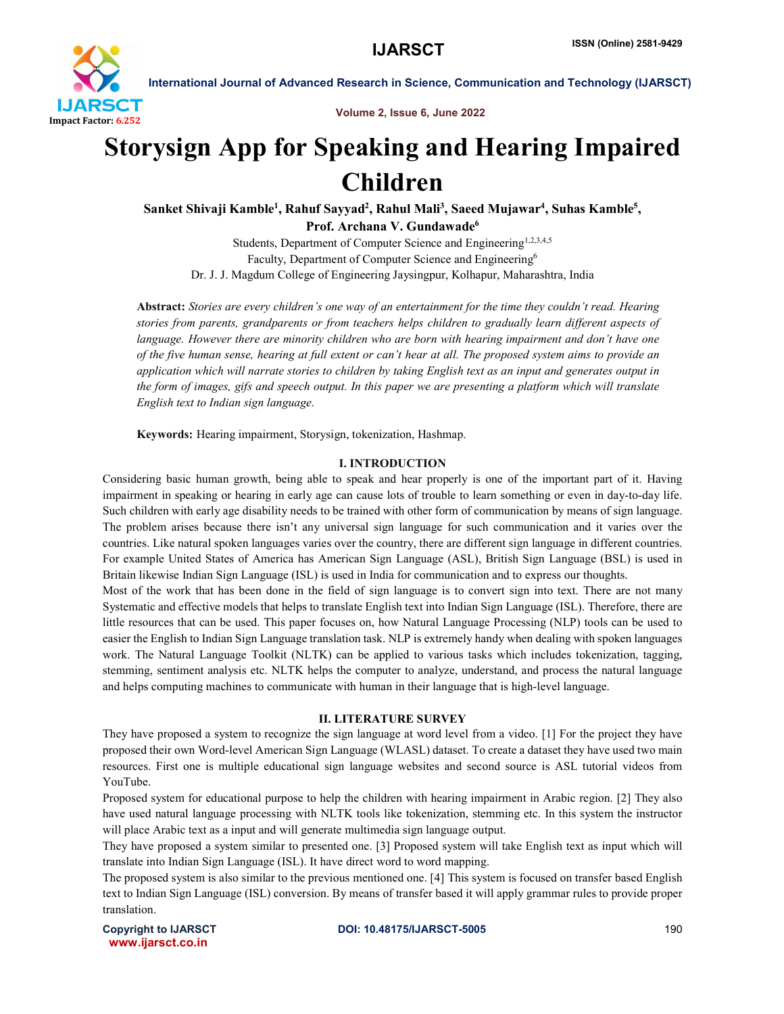

International Journal of Advanced Research in Science, Communication and Technology (IJARSCT)

Volume 2, Issue 6, June 2022

# Storysign App for Speaking and Hearing Impaired Children

Sanket Shivaji Kamble<sup>1</sup>, Rahuf Sayyad<sup>2</sup>, Rahul Mali<sup>3</sup>, Saeed Mujawar<sup>4</sup>, Suhas Kamble<sup>5</sup>, Prof. Archana V. Gundawade<sup>6</sup>

Students, Department of Computer Science and Engineering<sup>1,2,3,4,5</sup> Faculty, Department of Computer Science and Engineering<sup>6</sup> Dr. J. J. Magdum College of Engineering Jaysingpur, Kolhapur, Maharashtra, India

Abstract: *Stories are every children's one way of an entertainment for the time they couldn't read. Hearing stories from parents, grandparents or from teachers helps children to gradually learn different aspects of*  language. However there are minority children who are born with hearing impairment and don't have one *of the five human sense, hearing at full extent or can't hear at all. The proposed system aims to provide an application which will narrate stories to children by taking English text as an input and generates output in the form of images, gifs and speech output. In this paper we are presenting a platform which will translate English text to Indian sign language.*

Keywords: Hearing impairment, Storysign, tokenization, Hashmap.

# I. INTRODUCTION

Considering basic human growth, being able to speak and hear properly is one of the important part of it. Having impairment in speaking or hearing in early age can cause lots of trouble to learn something or even in day-to-day life. Such children with early age disability needs to be trained with other form of communication by means of sign language. The problem arises because there isn't any universal sign language for such communication and it varies over the countries. Like natural spoken languages varies over the country, there are different sign language in different countries. For example United States of America has American Sign Language (ASL), British Sign Language (BSL) is used in Britain likewise Indian Sign Language (ISL) is used in India for communication and to express our thoughts.

Most of the work that has been done in the field of sign language is to convert sign into text. There are not many Systematic and effective models that helps to translate English text into Indian Sign Language (ISL). Therefore, there are little resources that can be used. This paper focuses on, how Natural Language Processing (NLP) tools can be used to easier the English to Indian Sign Language translation task. NLP is extremely handy when dealing with spoken languages work. The Natural Language Toolkit (NLTK) can be applied to various tasks which includes tokenization, tagging, stemming, sentiment analysis etc. NLTK helps the computer to analyze, understand, and process the natural language and helps computing machines to communicate with human in their language that is high-level language.

# II. LITERATURE SURVEY

They have proposed a system to recognize the sign language at word level from a video. [1] For the project they have proposed their own Word-level American Sign Language (WLASL) dataset. To create a dataset they have used two main resources. First one is multiple educational sign language websites and second source is ASL tutorial videos from YouTube.

Proposed system for educational purpose to help the children with hearing impairment in Arabic region. [2] They also have used natural language processing with NLTK tools like tokenization, stemming etc. In this system the instructor will place Arabic text as a input and will generate multimedia sign language output.

They have proposed a system similar to presented one. [3] Proposed system will take English text as input which will translate into Indian Sign Language (ISL). It have direct word to word mapping.

The proposed system is also similar to the previous mentioned one. [4] This system is focused on transfer based English text to Indian Sign Language (ISL) conversion. By means of transfer based it will apply grammar rules to provide proper translation.

www.ijarsct.co.in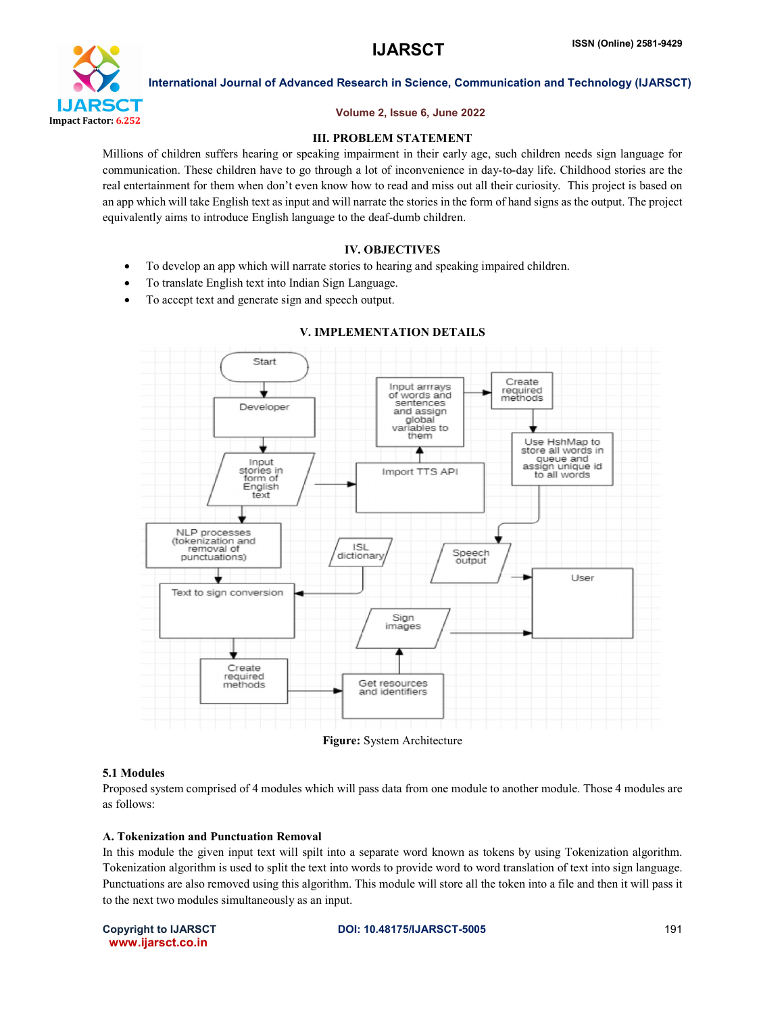

International Journal of Advanced Research in Science, Communication and Technology (IJARSCT)

# Volume 2, Issue 6, June 2022

# III. PROBLEM STATEMENT

Millions of children suffers hearing or speaking impairment in their early age, such children needs sign language for communication. These children have to go through a lot of inconvenience in day-to-day life. Childhood stories are the real entertainment for them when don't even know how to read and miss out all their curiosity. This project is based on an app which will take English text as input and will narrate the stories in the form of hand signs as the output. The project equivalently aims to introduce English language to the deaf-dumb children.

# IV. OBJECTIVES

- To develop an app which will narrate stories to hearing and speaking impaired children.
- To translate English text into Indian Sign Language.
- To accept text and generate sign and speech output.



# V. IMPLEMENTATION DETAILS

# 5.1 Modules

Proposed system comprised of 4 modules which will pass data from one module to another module. Those 4 modules are as follows:

# A. Tokenization and Punctuation Removal

In this module the given input text will spilt into a separate word known as tokens by using Tokenization algorithm. Tokenization algorithm is used to split the text into words to provide word to word translation of text into sign language. Punctuations are also removed using this algorithm. This module will store all the token into a file and then it will pass it to the next two modules simultaneously as an input.

www.ijarsct.co.in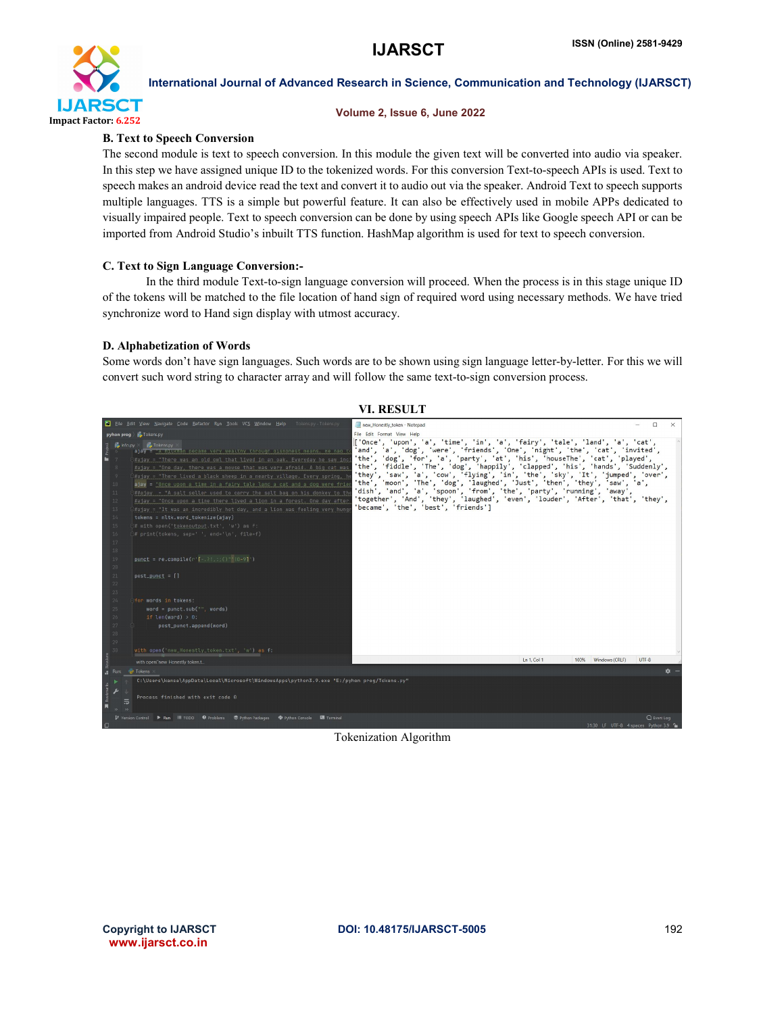

# International Journal of Advanced Research in Science, Communication and Technology (IJARSCT)

# Volume 2, Issue 6, June 2022

# B. Text to Speech Conversion

The second module is text to speech conversion. In this module the given text will be converted into audio via speaker. In this step we have assigned unique ID to the tokenized words. For this conversion Text-to-speech APIs is used. Text to speech makes an android device read the text and convert it to audio out via the speaker. Android Text to speech supports multiple languages. TTS is a simple but powerful feature. It can also be effectively used in mobile APPs dedicated to visually impaired people. Text to speech conversion can be done by using speech APIs like Google speech API or can be imported from Android Studio's inbuilt TTS function. HashMap algorithm is used for text to speech conversion.

# C. Text to Sign Language Conversion:-

In the third module Text-to-sign language conversion will proceed. When the process is in this stage unique ID of the tokens will be matched to the file location of hand sign of required word using necessary methods. We have tried synchronize word to Hand sign display with utmost accuracy.

# D. Alphabetization of Words

Some words don't have sign languages. Such words are to be shown using sign language letter-by-letter. For this we will convert such word string to character array and will follow the same text-to-sign conversion process.



Tokenization Algorithm